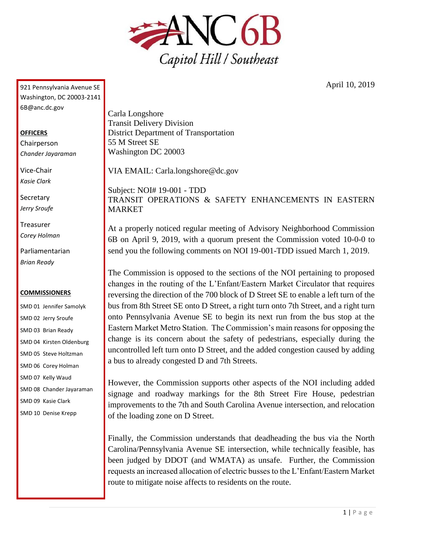

April 10, 2019

921 Pennsylvania Avenue SE Washington, DC 20003-2141 6B@anc.dc.gov

## **OFFICERS**

Chairperson *Chander Jayaraman*

Vice-Chair *Kasie Clark*

**Secretary** *Jerry Sroufe*

Treasurer *Corey Holman*

Parliamentarian *Brian Ready*

## **COMMISSIONERS**

SMD 01 Jennifer Samolyk SMD 02 Jerry Sroufe SMD 03 Brian Ready SMD 04 Kirsten Oldenburg SMD 05 Steve Holtzman SMD 06 Corey Holman SMD 07 Kelly Waud SMD 08 Chander Jayaraman SMD 09 Kasie Clark SMD 10 Denise Krepp

Carla Longshore Transit Delivery Division District Department of Transportation 55 M Street SE Washington DC 20003

VIA EMAIL: Carla.longshore@dc.gov

Subject: NOI# 19-001 - TDD TRANSIT OPERATIONS & SAFETY ENHANCEMENTS IN EASTERN **MARKET** 

At a properly noticed regular meeting of Advisory Neighborhood Commission 6B on April 9, 2019, with a quorum present the Commission voted 10-0-0 to send you the following comments on NOI 19-001-TDD issued March 1, 2019.

The Commission is opposed to the sections of the NOI pertaining to proposed changes in the routing of the L'Enfant/Eastern Market Circulator that requires reversing the direction of the 700 block of D Street SE to enable a left turn of the bus from 8th Street SE onto D Street, a right turn onto 7th Street, and a right turn onto Pennsylvania Avenue SE to begin its next run from the bus stop at the Eastern Market Metro Station. The Commission's main reasons for opposing the change is its concern about the safety of pedestrians, especially during the uncontrolled left turn onto D Street, and the added congestion caused by adding a bus to already congested D and 7th Streets.

However, the Commission supports other aspects of the NOI including added signage and roadway markings for the 8th Street Fire House, pedestrian improvements to the 7th and South Carolina Avenue intersection, and relocation of the loading zone on D Street.

Finally, the Commission understands that deadheading the bus via the North Carolina/Pennsylvania Avenue SE intersection, while technically feasible, has been judged by DDOT (and WMATA) as unsafe. Further, the Commission requests an increased allocation of electric busses to the L'Enfant/Eastern Market route to mitigate noise affects to residents on the route.